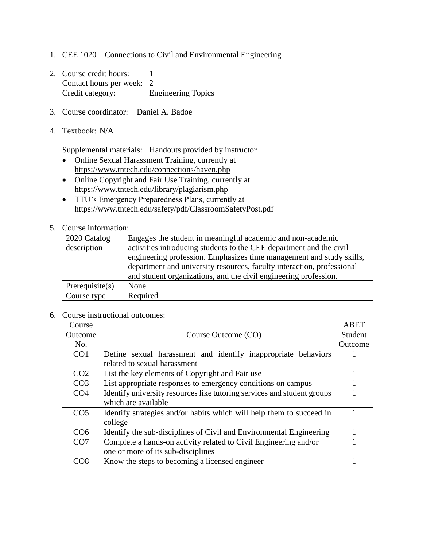- 1. CEE 1020 Connections to Civil and Environmental Engineering
- 2. Course credit hours: 1 Contact hours per week: 2 Credit category: Engineering Topics
- 3. Course coordinator: Daniel A. Badoe
- 4. Textbook: N/A

Supplemental materials: Handouts provided by instructor

- Online Sexual Harassment Training, currently at <https://www.tntech.edu/connections/haven.php>
- Online Copyright and Fair Use Training, currently at <https://www.tntech.edu/library/plagiarism.php>
- TTU's Emergency Preparedness Plans, currently at <https://www.tntech.edu/safety/pdf/ClassroomSafetyPost.pdf>

## 5. Course information:

| 2020 Catalog       | Engages the student in meaningful academic and non-academic            |
|--------------------|------------------------------------------------------------------------|
| description        | activities introducing students to the CEE department and the civil    |
|                    | engineering profession. Emphasizes time management and study skills,   |
|                    | department and university resources, faculty interaction, professional |
|                    | and student organizations, and the civil engineering profession.       |
| Prerequisite $(s)$ | None                                                                   |
| Course type        | Required                                                               |

6. Course instructional outcomes:

| Course          |                                                                         | ABET    |
|-----------------|-------------------------------------------------------------------------|---------|
| Outcome         | Course Outcome (CO)                                                     | Student |
| No.             |                                                                         | Outcome |
| CO <sub>1</sub> | Define sexual harassment and identify inappropriate behaviors           |         |
|                 | related to sexual harassment                                            |         |
| CO <sub>2</sub> | List the key elements of Copyright and Fair use                         |         |
| CO <sub>3</sub> | List appropriate responses to emergency conditions on campus            |         |
| CO <sub>4</sub> | Identify university resources like tutoring services and student groups |         |
|                 | which are available                                                     |         |
| CO <sub>5</sub> | Identify strategies and/or habits which will help them to succeed in    |         |
|                 | college                                                                 |         |
| CO <sub>6</sub> | Identify the sub-disciplines of Civil and Environmental Engineering     |         |
| CO7             | Complete a hands-on activity related to Civil Engineering and/or        |         |
|                 | one or more of its sub-disciplines                                      |         |
| CO8             | Know the steps to becoming a licensed engineer                          |         |